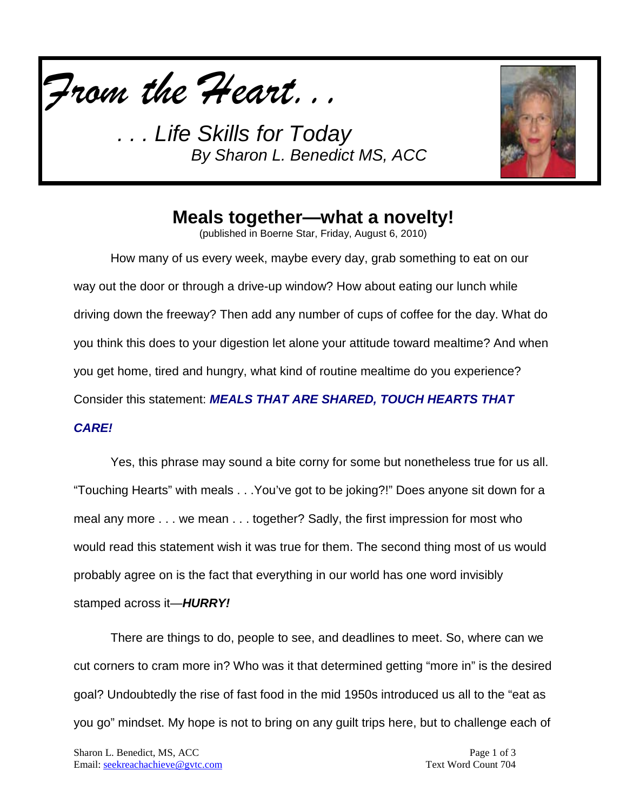



## **Meals together—what a novelty!**

(published in Boerne Star, Friday, August 6, 2010)

How many of us every week, maybe every day, grab something to eat on our way out the door or through a drive-up window? How about eating our lunch while driving down the freeway? Then add any number of cups of coffee for the day. What do you think this does to your digestion let alone your attitude toward mealtime? And when you get home, tired and hungry, what kind of routine mealtime do you experience? Consider this statement: *MEALS THAT ARE SHARED, TOUCH HEARTS THAT* 

#### *CARE!*

Yes, this phrase may sound a bite corny for some but nonetheless true for us all. "Touching Hearts" with meals . . .You've got to be joking?!" Does anyone sit down for a meal any more . . . we mean . . . together? Sadly, the first impression for most who would read this statement wish it was true for them. The second thing most of us would probably agree on is the fact that everything in our world has one word invisibly stamped across it—*HURRY!*

There are things to do, people to see, and deadlines to meet. So, where can we cut corners to cram more in? Who was it that determined getting "more in" is the desired goal? Undoubtedly the rise of fast food in the mid 1950s introduced us all to the "eat as you go" mindset. My hope is not to bring on any guilt trips here, but to challenge each of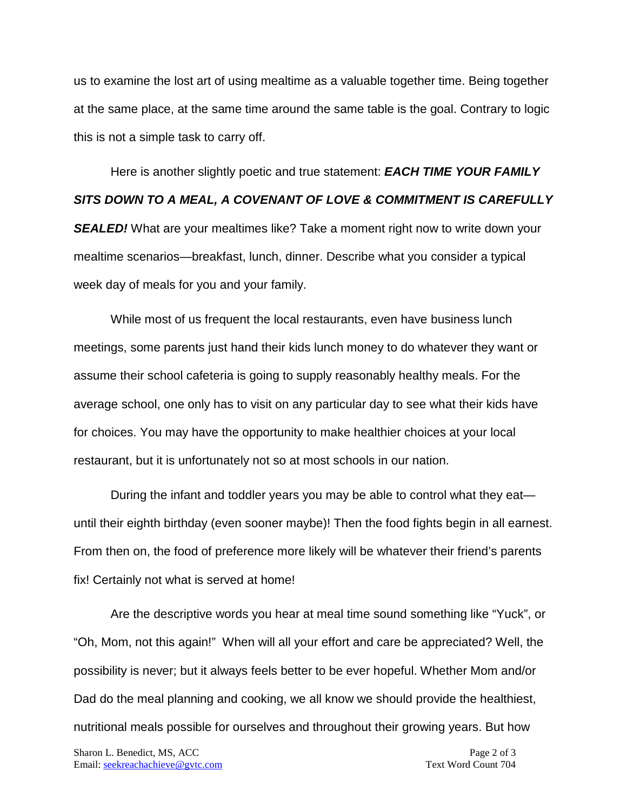us to examine the lost art of using mealtime as a valuable together time. Being together at the same place, at the same time around the same table is the goal. Contrary to logic this is not a simple task to carry off.

Here is another slightly poetic and true statement: *EACH TIME YOUR FAMILY SITS DOWN TO A MEAL, A COVENANT OF LOVE & COMMITMENT IS CAREFULLY*  **SEALED!** What are your mealtimes like? Take a moment right now to write down your mealtime scenarios—breakfast, lunch, dinner. Describe what you consider a typical week day of meals for you and your family.

While most of us frequent the local restaurants, even have business lunch meetings, some parents just hand their kids lunch money to do whatever they want or assume their school cafeteria is going to supply reasonably healthy meals. For the average school, one only has to visit on any particular day to see what their kids have for choices. You may have the opportunity to make healthier choices at your local restaurant, but it is unfortunately not so at most schools in our nation.

During the infant and toddler years you may be able to control what they eat until their eighth birthday (even sooner maybe)! Then the food fights begin in all earnest. From then on, the food of preference more likely will be whatever their friend's parents fix! Certainly not what is served at home!

Are the descriptive words you hear at meal time sound something like "Yuck", or "Oh, Mom, not this again!" When will all your effort and care be appreciated? Well, the possibility is never; but it always feels better to be ever hopeful. Whether Mom and/or Dad do the meal planning and cooking, we all know we should provide the healthiest, nutritional meals possible for ourselves and throughout their growing years. But how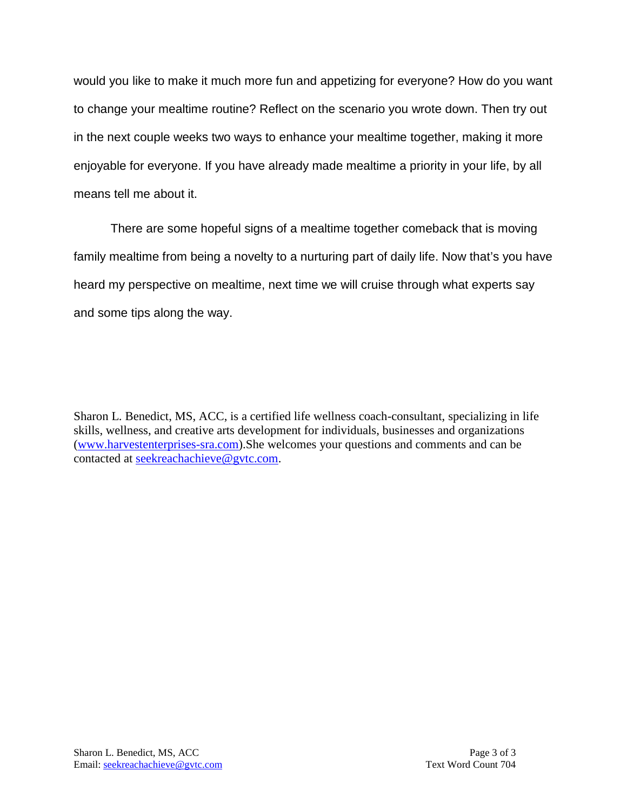would you like to make it much more fun and appetizing for everyone? How do you want to change your mealtime routine? Reflect on the scenario you wrote down. Then try out in the next couple weeks two ways to enhance your mealtime together, making it more enjoyable for everyone. If you have already made mealtime a priority in your life, by all means tell me about it.

There are some hopeful signs of a mealtime together comeback that is moving family mealtime from being a novelty to a nurturing part of daily life. Now that's you have heard my perspective on mealtime, next time we will cruise through what experts say and some tips along the way.

Sharon L. Benedict, MS, ACC, is a certified life wellness coach-consultant, specializing in life skills, wellness, and creative arts development for individuals, businesses and organizations [\(www.harvestenterprises-sra.com\)](http://www.harvestenterprises-sra.com/).She welcomes your questions and comments and can be contacted at [seekreachachieve@gvtc.com.](mailto:seekreachachieve@gvtc.com)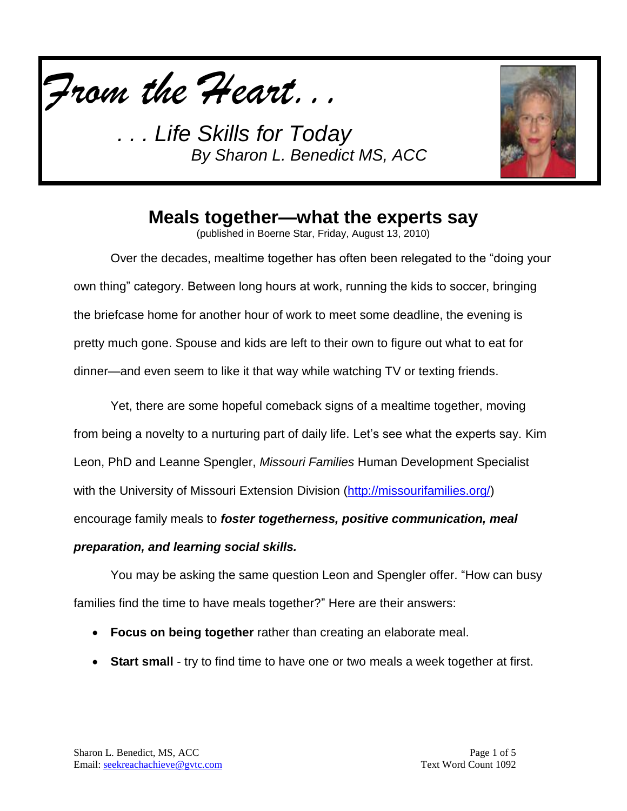



## **Meals together—what the experts say**

(published in Boerne Star, Friday, August 13, 2010)

Over the decades, mealtime together has often been relegated to the "doing your own thing" category. Between long hours at work, running the kids to soccer, bringing the briefcase home for another hour of work to meet some deadline, the evening is pretty much gone. Spouse and kids are left to their own to figure out what to eat for dinner—and even seem to like it that way while watching TV or texting friends.

Yet, there are some hopeful comeback signs of a mealtime together, moving from being a novelty to a nurturing part of daily life. Let's see what the experts say. Kim Leon, PhD and Leanne Spengler, *Missouri Families* Human Development Specialist with the University of Missouri Extension Division [\(http://missourifamilies.org/\)](http://missourifamilies.org/) encourage family meals to *foster togetherness, positive communication, meal* 

### *preparation, and learning social skills.*

You may be asking the same question Leon and Spengler offer. "How can busy families find the time to have meals together?" Here are their answers:

- **Focus on being together** rather than creating an elaborate meal.
- **Start small** try to find time to have one or two meals a week together at first.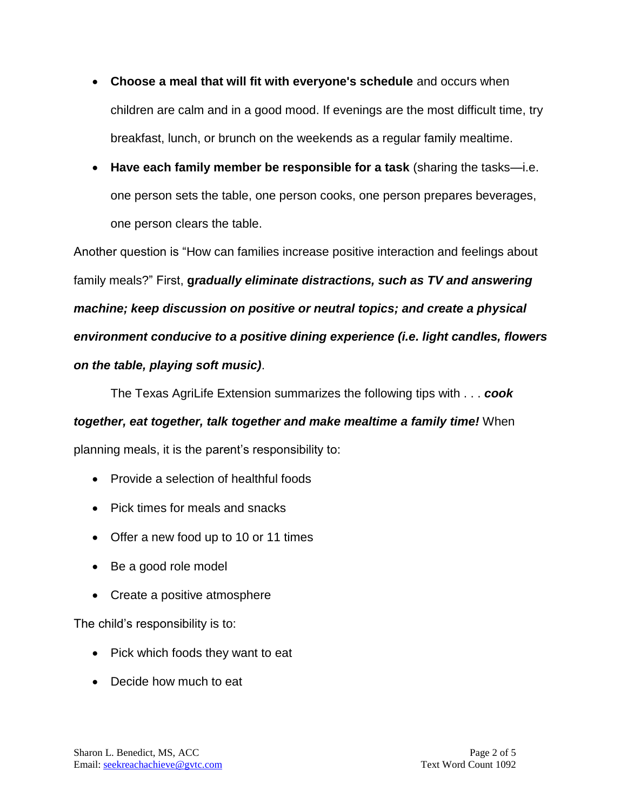- **Choose a meal that will fit with everyone's schedule** and occurs when children are calm and in a good mood. If evenings are the most difficult time, try breakfast, lunch, or brunch on the weekends as a regular family mealtime.
- **Have each family member be responsible for a task** (sharing the tasks—i.e. one person sets the table, one person cooks, one person prepares beverages, one person clears the table.

Another question is "How can families increase positive interaction and feelings about family meals?" First, **g***radually eliminate distractions, such as TV and answering machine; keep discussion on positive or neutral topics; and create a physical environment conducive to a positive dining experience (i.e. light candles, flowers on the table, playing soft music)*.

The Texas AgriLife Extension summarizes the following tips with . . . *cook together, eat together, talk together and make mealtime a family time!* When planning meals, it is the parent's responsibility to:

- Provide a selection of healthful foods
- Pick times for meals and snacks
- Offer a new food up to 10 or 11 times
- Be a good role model
- Create a positive atmosphere

The child's responsibility is to:

- Pick which foods they want to eat
- Decide how much to eat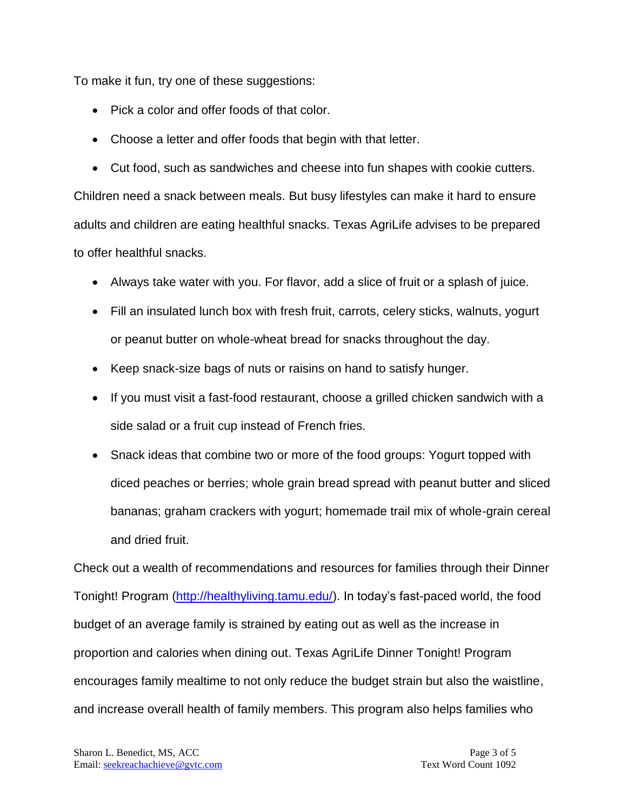To make it fun, try one of these suggestions:

- Pick a color and offer foods of that color.
- Choose a letter and offer foods that begin with that letter.

 Cut food, such as sandwiches and cheese into fun shapes with cookie cutters. Children need a snack between meals. But busy lifestyles can make it hard to ensure adults and children are eating healthful snacks. Texas AgriLife advises to be prepared to offer healthful snacks.

- Always take water with you. For flavor, add a slice of fruit or a splash of juice.
- Fill an insulated lunch box with fresh fruit, carrots, celery sticks, walnuts, yogurt or peanut butter on whole-wheat bread for snacks throughout the day.
- Keep snack-size bags of nuts or raisins on hand to satisfy hunger.
- If you must visit a fast-food restaurant, choose a grilled chicken sandwich with a side salad or a fruit cup instead of French fries.
- Snack ideas that combine two or more of the food groups: Yogurt topped with diced peaches or berries; whole grain bread spread with peanut butter and sliced bananas; graham crackers with yogurt; homemade trail mix of whole-grain cereal and dried fruit.

Check out a wealth of recommendations and resources for families through their Dinner Tonight! Program [\(http://healthyliving.tamu.edu/\)](http://healthyliving.tamu.edu/). In today's fast-paced world, the food budget of an average family is strained by eating out as well as the increase in proportion and calories when dining out. Texas AgriLife Dinner Tonight! Program encourages family mealtime to not only reduce the budget strain but also the waistline, and increase overall health of family members. This program also helps families who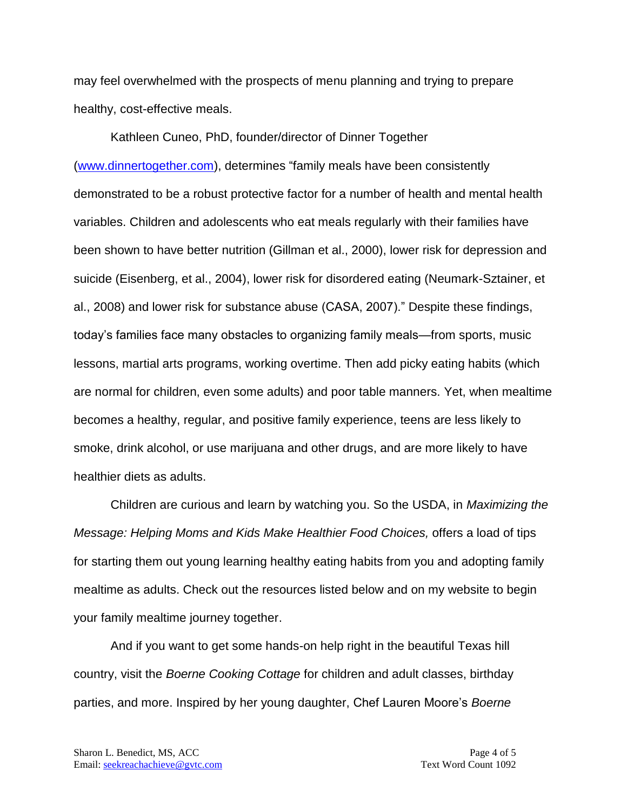may feel overwhelmed with the prospects of menu planning and trying to prepare healthy, cost-effective meals.

Kathleen Cuneo, PhD, founder/director of Dinner Together [\(www.dinnertogether.com\)](http://www.dinnertogether.com/), determines "family meals have been consistently demonstrated to be a robust protective factor for a number of health and mental health variables. Children and adolescents who eat meals regularly with their families have been shown to have better nutrition (Gillman et al., 2000), lower risk for depression and suicide (Eisenberg, et al., 2004), lower risk for disordered eating (Neumark-Sztainer, et al., 2008) and lower risk for substance abuse (CASA, 2007)." Despite these findings, today's families face many obstacles to organizing family meals—from sports, music lessons, martial arts programs, working overtime. Then add picky eating habits (which are normal for children, even some adults) and poor table manners. Yet, when mealtime becomes a healthy, regular, and positive family experience, teens are less likely to smoke, drink alcohol, or use marijuana and other drugs, and are more likely to have healthier diets as adults.

Children are curious and learn by watching you. So the USDA, in *Maximizing the Message: Helping Moms and Kids Make Healthier Food Choices,* offers a load of tips for starting them out young learning healthy eating habits from you and adopting family mealtime as adults. Check out the resources listed below and on my website to begin your family mealtime journey together.

And if you want to get some hands-on help right in the beautiful Texas hill country, visit the *Boerne Cooking Cottage* for children and adult classes, birthday parties, and more. Inspired by her young daughter, Chef Lauren Moore's *Boerne*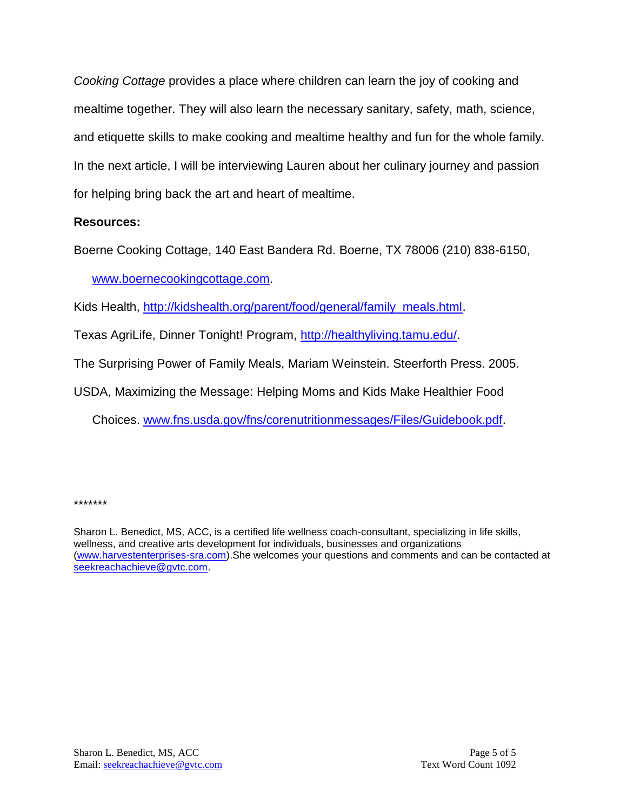*Cooking Cottage* provides a place where children can learn the joy of cooking and mealtime together. They will also learn the necessary sanitary, safety, math, science, and etiquette skills to make cooking and mealtime healthy and fun for the whole family. In the next article, I will be interviewing Lauren about her culinary journey and passion for helping bring back the art and heart of mealtime.

### **Resources:**

Boerne Cooking Cottage, 140 East Bandera Rd. Boerne, TX 78006 (210) 838-6150, [www.boernecookingcottage.com.](http://www.boernecookingcottage.com/)

Kids Health, [http://kidshealth.org/parent/food/general/family\\_meals.html.](http://kidshealth.org/parent/food/general/family_meals.html)

Texas AgriLife, Dinner Tonight! Program, [http://healthyliving.tamu.edu/.](http://healthyliving.tamu.edu/)

The Surprising Power of Family Meals, Mariam Weinstein. Steerforth Press. 2005.

USDA, Maximizing the Message: Helping Moms and Kids Make Healthier Food

Choices. [www.fns.usda.gov/fns/corenutritionmessages/Files/Guidebook.pdf.](http://www.fns.usda.gov/fns/corenutritionmessages/Files/Guidebook.pdf)

#### \*\*\*\*\*\*\*

Sharon L. Benedict, MS, ACC, is a certified life wellness coach-consultant, specializing in life skills, wellness, and creative arts development for individuals, businesses and organizations [\(www.harvestenterprises-sra.com\)](http://www.harvestenterprises-sra.com/).She welcomes your questions and comments and can be contacted at [seekreachachieve@gvtc.com.](mailto:seekreachachieve@gvtc.com)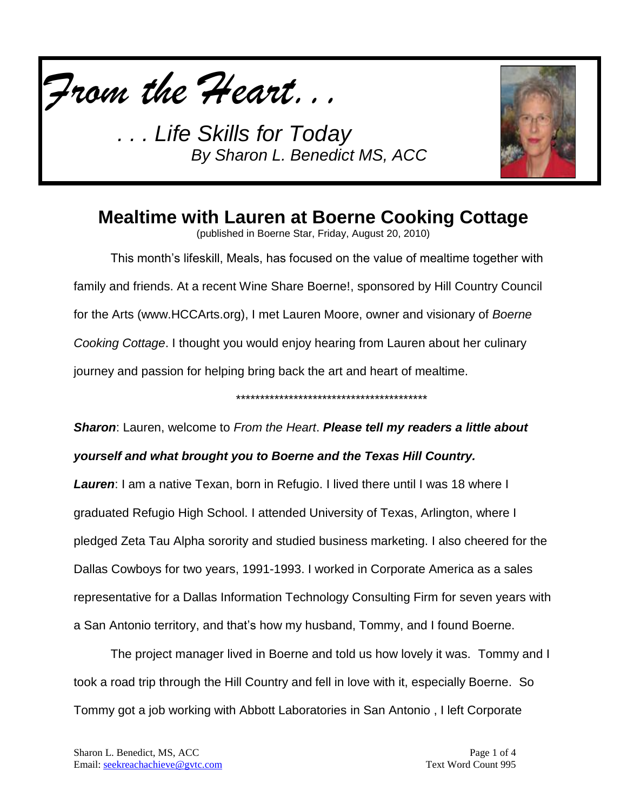



# **Mealtime with Lauren at Boerne Cooking Cottage**

(published in Boerne Star, Friday, August 20, 2010)

This month's lifeskill, Meals, has focused on the value of mealtime together with family and friends. At a recent Wine Share Boerne!, sponsored by Hill Country Council for the Arts (www.HCCArts.org), I met Lauren Moore, owner and visionary of *Boerne Cooking Cottage*. I thought you would enjoy hearing from Lauren about her culinary journey and passion for helping bring back the art and heart of mealtime.

\*\*\*\*\*\*\*\*\*\*\*\*\*\*\*\*\*\*\*\*\*\*\*\*\*\*\*\*\*\*\*\*\*\*\*\*\*\*\*\*

*Sharon*: Lauren, welcome to *From the Heart*. *Please tell my readers a little about yourself and what brought you to Boerne and the Texas Hill Country.*

**Lauren:** I am a native Texan, born in Refugio. I lived there until I was 18 where I graduated Refugio High School. I attended University of Texas, Arlington, where I pledged Zeta Tau Alpha sorority and studied business marketing. I also cheered for the Dallas Cowboys for two years, 1991-1993. I worked in Corporate America as a sales representative for a Dallas Information Technology Consulting Firm for seven years with a San Antonio territory, and that's how my husband, Tommy, and I found Boerne.

The project manager lived in Boerne and told us how lovely it was. Tommy and I took a road trip through the Hill Country and fell in love with it, especially Boerne. So Tommy got a job working with Abbott Laboratories in San Antonio , I left Corporate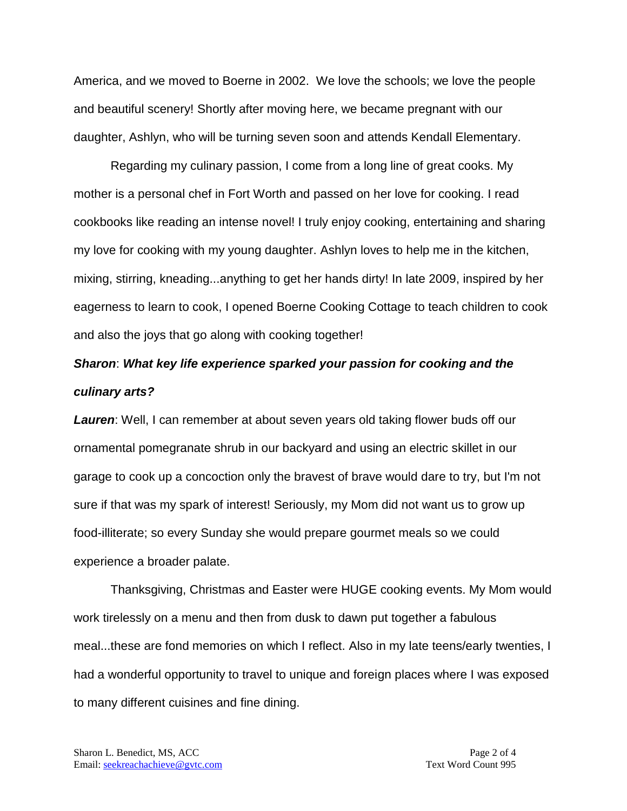America, and we moved to Boerne in 2002. We love the schools; we love the people and beautiful scenery! Shortly after moving here, we became pregnant with our daughter, Ashlyn, who will be turning seven soon and attends Kendall Elementary.

Regarding my culinary passion, I come from a long line of great cooks. My mother is a personal chef in Fort Worth and passed on her love for cooking. I read cookbooks like reading an intense novel! I truly enjoy cooking, entertaining and sharing my love for cooking with my young daughter. Ashlyn loves to help me in the kitchen, mixing, stirring, kneading...anything to get her hands dirty! In late 2009, inspired by her eagerness to learn to cook, I opened Boerne Cooking Cottage to teach children to cook and also the joys that go along with cooking together!

### *Sharon*: *What key life experience sparked your passion for cooking and the culinary arts?*

*Lauren*: Well, I can remember at about seven years old taking flower buds off our ornamental pomegranate shrub in our backyard and using an electric skillet in our garage to cook up a concoction only the bravest of brave would dare to try, but I'm not sure if that was my spark of interest! Seriously, my Mom did not want us to grow up food-illiterate; so every Sunday she would prepare gourmet meals so we could experience a broader palate.

Thanksgiving, Christmas and Easter were HUGE cooking events. My Mom would work tirelessly on a menu and then from dusk to dawn put together a fabulous meal...these are fond memories on which I reflect. Also in my late teens/early twenties, I had a wonderful opportunity to travel to unique and foreign places where I was exposed to many different cuisines and fine dining.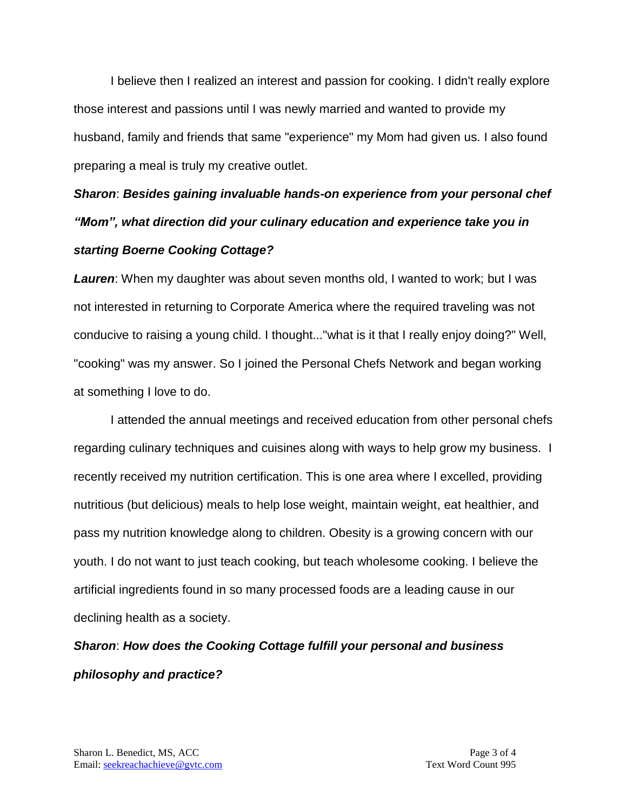I believe then I realized an interest and passion for cooking. I didn't really explore those interest and passions until I was newly married and wanted to provide my husband, family and friends that same "experience" my Mom had given us. I also found preparing a meal is truly my creative outlet.

# *Sharon*: *Besides gaining invaluable hands-on experience from your personal chef "Mom", what direction did your culinary education and experience take you in starting Boerne Cooking Cottage?*

*Lauren*: When my daughter was about seven months old, I wanted to work; but I was not interested in returning to Corporate America where the required traveling was not conducive to raising a young child. I thought..."what is it that I really enjoy doing?" Well, "cooking" was my answer. So I joined the Personal Chefs Network and began working at something I love to do.

I attended the annual meetings and received education from other personal chefs regarding culinary techniques and cuisines along with ways to help grow my business. I recently received my nutrition certification. This is one area where I excelled, providing nutritious (but delicious) meals to help lose weight, maintain weight, eat healthier, and pass my nutrition knowledge along to children. Obesity is a growing concern with our youth. I do not want to just teach cooking, but teach wholesome cooking. I believe the artificial ingredients found in so many processed foods are a leading cause in our declining health as a society.

# *Sharon*: *How does the Cooking Cottage fulfill your personal and business philosophy and practice?*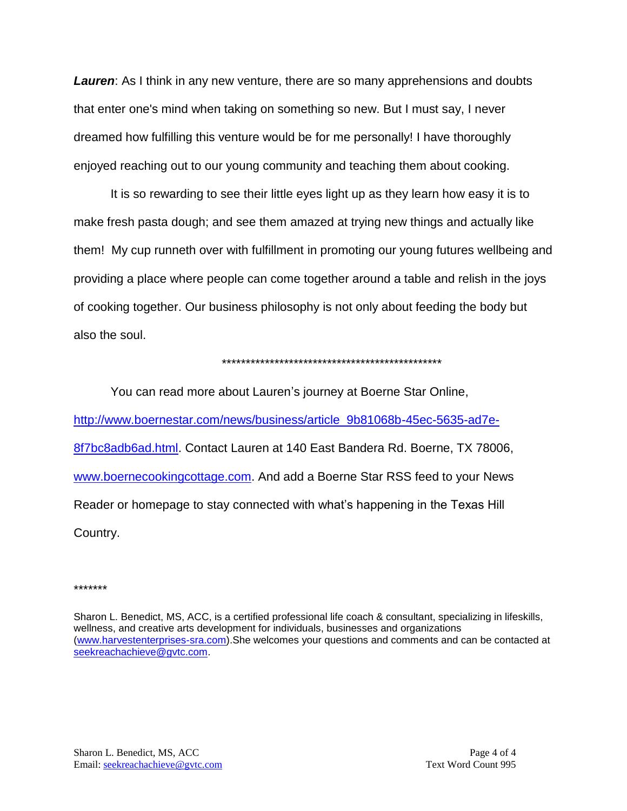*Lauren*: As I think in any new venture, there are so many apprehensions and doubts that enter one's mind when taking on something so new. But I must say, I never dreamed how fulfilling this venture would be for me personally! I have thoroughly enjoyed reaching out to our young community and teaching them about cooking.

It is so rewarding to see their little eyes light up as they learn how easy it is to make fresh pasta dough; and see them amazed at trying new things and actually like them! My cup runneth over with fulfillment in promoting our young futures wellbeing and providing a place where people can come together around a table and relish in the joys of cooking together. Our business philosophy is not only about feeding the body but also the soul.

#### \*\*\*\*\*\*\*\*\*\*\*\*\*\*\*\*\*\*\*\*\*\*\*\*\*\*\*\*\*\*\*\*\*\*\*\*\*\*\*\*\*\*\*\*\*\*

You can read more about Lauren's journey at Boerne Star Online,

[http://www.boernestar.com/news/business/article\\_9b81068b-45ec-5635-ad7e-](http://www.boernestar.com/news/business/article_9b81068b-45ec-5635-ad7e-8f7bc8adb6ad.html)[8f7bc8adb6ad.html.](http://www.boernestar.com/news/business/article_9b81068b-45ec-5635-ad7e-8f7bc8adb6ad.html) Contact Lauren at 140 East Bandera Rd. Boerne, TX 78006, [www.boernecookingcottage.com.](http://www.boernecookingcottage.com/) And add a Boerne Star RSS feed to your News Reader or homepage to stay connected with what's happening in the Texas Hill Country.

#### \*\*\*\*\*\*\*

Sharon L. Benedict, MS, ACC, is a certified professional life coach & consultant, specializing in lifeskills, wellness, and creative arts development for individuals, businesses and organizations [\(www.harvestenterprises-sra.com\)](http://www.harvestenterprises-sra.com/).She welcomes your questions and comments and can be contacted at [seekreachachieve@gvtc.com.](mailto:seekreachachieve@gvtc.com)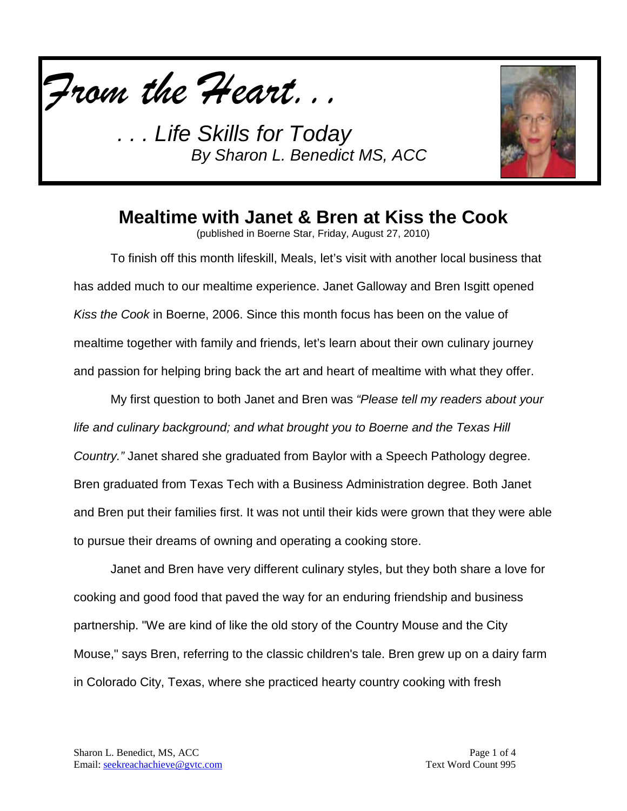



## **Mealtime with Janet & Bren at Kiss the Cook**

(published in Boerne Star, Friday, August 27, 2010)

To finish off this month lifeskill, Meals, let's visit with another local business that has added much to our mealtime experience. Janet Galloway and Bren Isgitt opened *Kiss the Cook* in Boerne, 2006. Since this month focus has been on the value of mealtime together with family and friends, let's learn about their own culinary journey and passion for helping bring back the art and heart of mealtime with what they offer.

My first question to both Janet and Bren was *"Please tell my readers about your life and culinary background; and what brought you to Boerne and the Texas Hill Country."* Janet shared she graduated from Baylor with a Speech Pathology degree. Bren graduated from Texas Tech with a Business Administration degree. Both Janet and Bren put their families first. It was not until their kids were grown that they were able to pursue their dreams of owning and operating a cooking store.

Janet and Bren have very different culinary styles, but they both share a love for cooking and good food that paved the way for an enduring friendship and business partnership. "We are kind of like the old story of the Country Mouse and the City Mouse," says Bren, referring to the classic children's tale. Bren grew up on a dairy farm in Colorado City, Texas, where she practiced hearty country cooking with fresh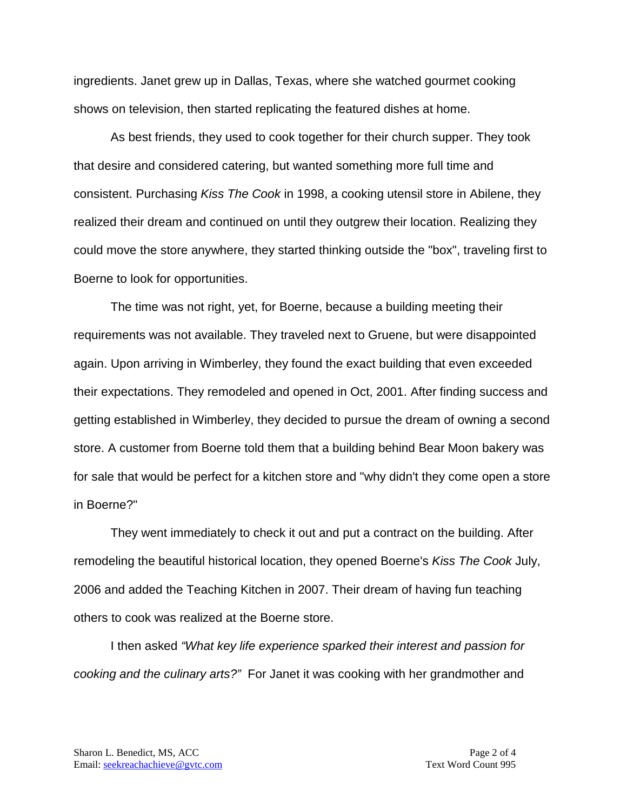ingredients. Janet grew up in Dallas, Texas, where she watched gourmet cooking shows on television, then started replicating the featured dishes at home.

As best friends, they used to cook together for their church supper. They took that desire and considered catering, but wanted something more full time and consistent. Purchasing *Kiss The Cook* in 1998, a cooking utensil store in Abilene, they realized their dream and continued on until they outgrew their location. Realizing they could move the store anywhere, they started thinking outside the "box", traveling first to Boerne to look for opportunities.

The time was not right, yet, for Boerne, because a building meeting their requirements was not available. They traveled next to Gruene, but were disappointed again. Upon arriving in Wimberley, they found the exact building that even exceeded their expectations. They remodeled and opened in Oct, 2001. After finding success and getting established in Wimberley, they decided to pursue the dream of owning a second store. A customer from Boerne told them that a building behind Bear Moon bakery was for sale that would be perfect for a kitchen store and "why didn't they come open a store in Boerne?"

They went immediately to check it out and put a contract on the building. After remodeling the beautiful historical location, they opened Boerne's *Kiss The Cook* July, 2006 and added the Teaching Kitchen in 2007. Their dream of having fun teaching others to cook was realized at the Boerne store.

I then asked *"What key life experience sparked their interest and passion for cooking and the culinary arts?"* For Janet it was cooking with her grandmother and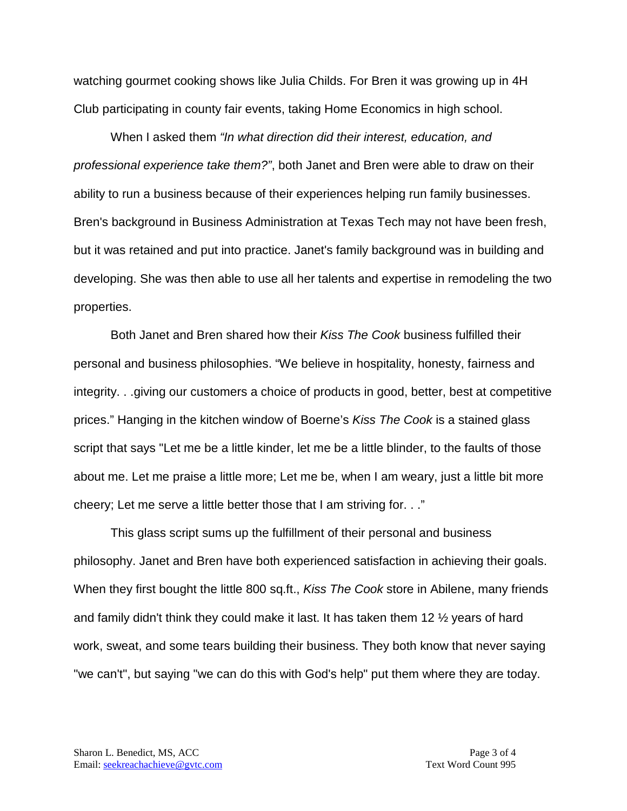watching gourmet cooking shows like Julia Childs. For Bren it was growing up in 4H Club participating in county fair events, taking Home Economics in high school.

When I asked them *"In what direction did their interest, education, and professional experience take them?"*, both Janet and Bren were able to draw on their ability to run a business because of their experiences helping run family businesses. Bren's background in Business Administration at Texas Tech may not have been fresh, but it was retained and put into practice. Janet's family background was in building and developing. She was then able to use all her talents and expertise in remodeling the two properties.

Both Janet and Bren shared how their *Kiss The Cook* business fulfilled their personal and business philosophies. "We believe in hospitality, honesty, fairness and integrity. . .giving our customers a choice of products in good, better, best at competitive prices." Hanging in the kitchen window of Boerne's *Kiss The Cook* is a stained glass script that says "Let me be a little kinder, let me be a little blinder, to the faults of those about me. Let me praise a little more; Let me be, when I am weary, just a little bit more cheery; Let me serve a little better those that I am striving for. . ."

This glass script sums up the fulfillment of their personal and business philosophy. Janet and Bren have both experienced satisfaction in achieving their goals. When they first bought the little 800 sq.ft., *Kiss The Cook* store in Abilene, many friends and family didn't think they could make it last. It has taken them 12 ½ years of hard work, sweat, and some tears building their business. They both know that never saying "we can't", but saying "we can do this with God's help" put them where they are today.